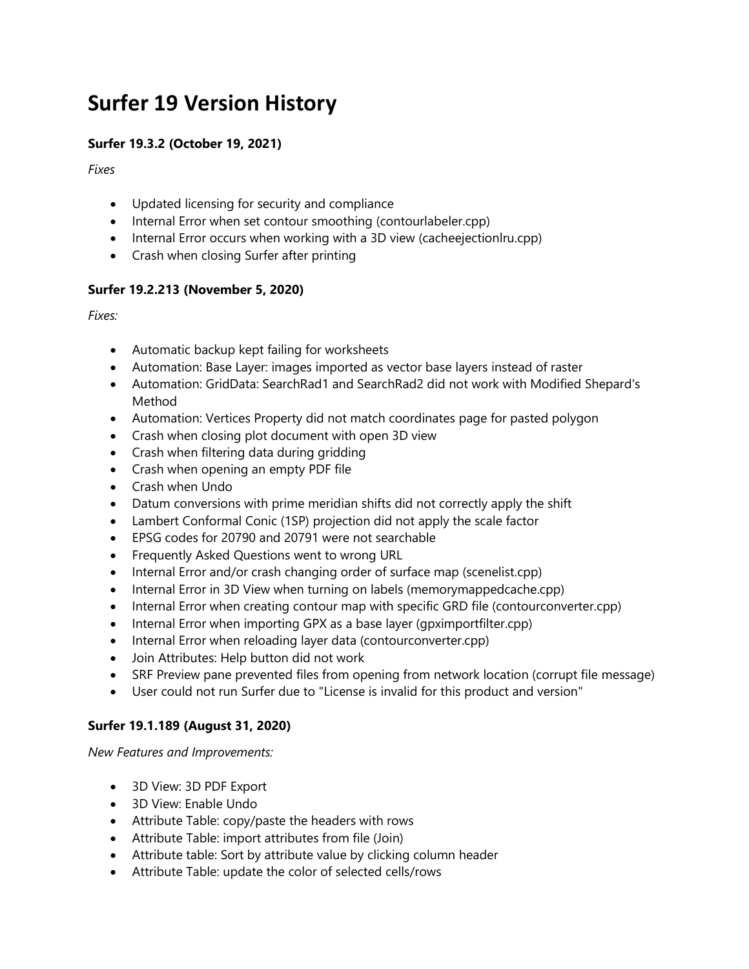# **Surfer 19 Version History**

## **Surfer 19.3.2 (October 19, 2021)**

*Fixes*

- Updated licensing for security and compliance
- Internal Error when set contour smoothing (contourlabeler.cpp)
- Internal Error occurs when working with a 3D view (cacheejectionlru.cpp)
- Crash when closing Surfer after printing

### **Surfer 19.2.213 (November 5, 2020)**

*Fixes:*

- Automatic backup kept failing for worksheets
- Automation: Base Layer: images imported as vector base layers instead of raster
- Automation: GridData: SearchRad1 and SearchRad2 did not work with Modified Shepard's Method
- Automation: Vertices Property did not match coordinates page for pasted polygon
- Crash when closing plot document with open 3D view
- Crash when filtering data during gridding
- Crash when opening an empty PDF file
- Crash when Undo
- Datum conversions with prime meridian shifts did not correctly apply the shift
- Lambert Conformal Conic (1SP) projection did not apply the scale factor
- EPSG codes for 20790 and 20791 were not searchable
- **•** Frequently Asked Questions went to wrong URL
- Internal Error and/or crash changing order of surface map (scenelist.cpp)
- Internal Error in 3D View when turning on labels (memorymappedcache.cpp)
- Internal Error when creating contour map with specific GRD file (contourconverter.cpp)
- Internal Error when importing GPX as a base layer (gpximportfilter.cpp)
- Internal Error when reloading layer data (contourconverter.cpp)
- Join Attributes: Help button did not work
- SRF Preview pane prevented files from opening from network location (corrupt file message)
- User could not run Surfer due to "License is invalid for this product and version"

#### **Surfer 19.1.189 (August 31, 2020)**

*New Features and Improvements:*

- 3D View: 3D PDF Export
- 3D View: Enable Undo
- Attribute Table: copy/paste the headers with rows
- Attribute Table: import attributes from file (Join)
- Attribute table: Sort by attribute value by clicking column header
- Attribute Table: update the color of selected cells/rows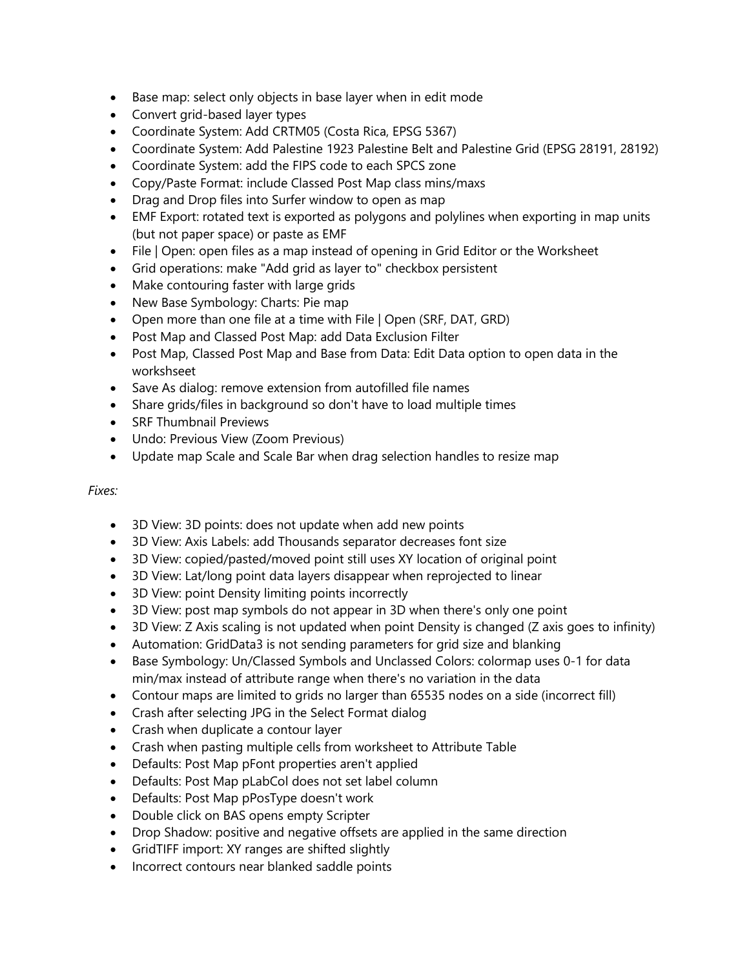- Base map: select only objects in base layer when in edit mode
- Convert grid-based layer types
- Coordinate System: Add CRTM05 (Costa Rica, EPSG 5367)
- Coordinate System: Add Palestine 1923 Palestine Belt and Palestine Grid (EPSG 28191, 28192)
- Coordinate System: add the FIPS code to each SPCS zone
- Copy/Paste Format: include Classed Post Map class mins/maxs
- Drag and Drop files into Surfer window to open as map
- EMF Export: rotated text is exported as polygons and polylines when exporting in map units (but not paper space) or paste as EMF
- File | Open: open files as a map instead of opening in Grid Editor or the Worksheet
- Grid operations: make "Add grid as layer to" checkbox persistent
- Make contouring faster with large grids
- New Base Symbology: Charts: Pie map
- Open more than one file at a time with File | Open (SRF, DAT, GRD)
- Post Map and Classed Post Map: add Data Exclusion Filter
- Post Map, Classed Post Map and Base from Data: Edit Data option to open data in the workshseet
- Save As dialog: remove extension from autofilled file names
- Share grids/files in background so don't have to load multiple times
- SRF Thumbnail Previews
- Undo: Previous View (Zoom Previous)
- Update map Scale and Scale Bar when drag selection handles to resize map

#### *Fixes:*

- 3D View: 3D points: does not update when add new points
- 3D View: Axis Labels: add Thousands separator decreases font size
- 3D View: copied/pasted/moved point still uses XY location of original point
- 3D View: Lat/long point data layers disappear when reprojected to linear
- 3D View: point Density limiting points incorrectly
- 3D View: post map symbols do not appear in 3D when there's only one point
- 3D View: Z Axis scaling is not updated when point Density is changed (Z axis goes to infinity)
- Automation: GridData3 is not sending parameters for grid size and blanking
- Base Symbology: Un/Classed Symbols and Unclassed Colors: colormap uses 0-1 for data min/max instead of attribute range when there's no variation in the data
- Contour maps are limited to grids no larger than 65535 nodes on a side (incorrect fill)
- Crash after selecting JPG in the Select Format dialog
- Crash when duplicate a contour layer
- Crash when pasting multiple cells from worksheet to Attribute Table
- Defaults: Post Map pFont properties aren't applied
- Defaults: Post Map pLabCol does not set label column
- Defaults: Post Map pPosType doesn't work
- Double click on BAS opens empty Scripter
- Drop Shadow: positive and negative offsets are applied in the same direction
- GridTIFF import: XY ranges are shifted slightly
- Incorrect contours near blanked saddle points